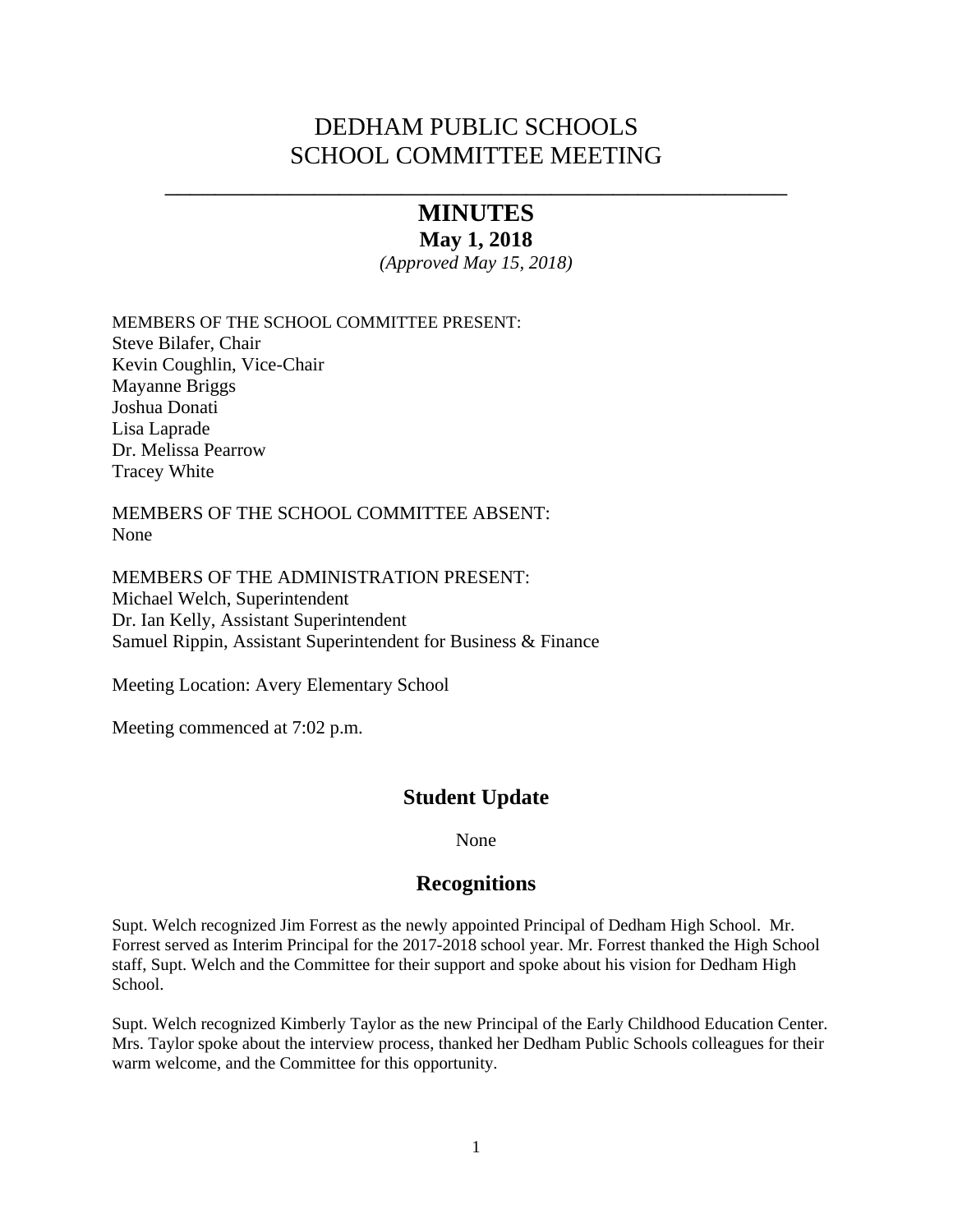# DEDHAM PUBLIC SCHOOLS SCHOOL COMMITTEE MEETING

# \_\_\_\_\_\_\_\_\_\_\_\_\_\_\_\_\_\_\_\_\_\_\_\_\_\_\_\_\_\_\_\_\_\_\_\_\_\_\_\_\_\_\_\_\_\_\_\_\_\_ **MINUTES**

### **May 1, 2018**

*(Approved May 15, 2018)* 

MEMBERS OF THE SCHOOL COMMITTEE PRESENT: Steve Bilafer, Chair Kevin Coughlin, Vice-Chair Mayanne Briggs Joshua Donati Lisa Laprade Dr. Melissa Pearrow Tracey White

MEMBERS OF THE SCHOOL COMMITTEE ABSENT: None

MEMBERS OF THE ADMINISTRATION PRESENT: Michael Welch, Superintendent Dr. Ian Kelly, Assistant Superintendent Samuel Rippin, Assistant Superintendent for Business & Finance

Meeting Location: Avery Elementary School

Meeting commenced at 7:02 p.m.

## **Student Update**

None

## **Recognitions**

Supt. Welch recognized Jim Forrest as the newly appointed Principal of Dedham High School. Mr. Forrest served as Interim Principal for the 2017-2018 school year. Mr. Forrest thanked the High School staff, Supt. Welch and the Committee for their support and spoke about his vision for Dedham High School.

Supt. Welch recognized Kimberly Taylor as the new Principal of the Early Childhood Education Center. Mrs. Taylor spoke about the interview process, thanked her Dedham Public Schools colleagues for their warm welcome, and the Committee for this opportunity.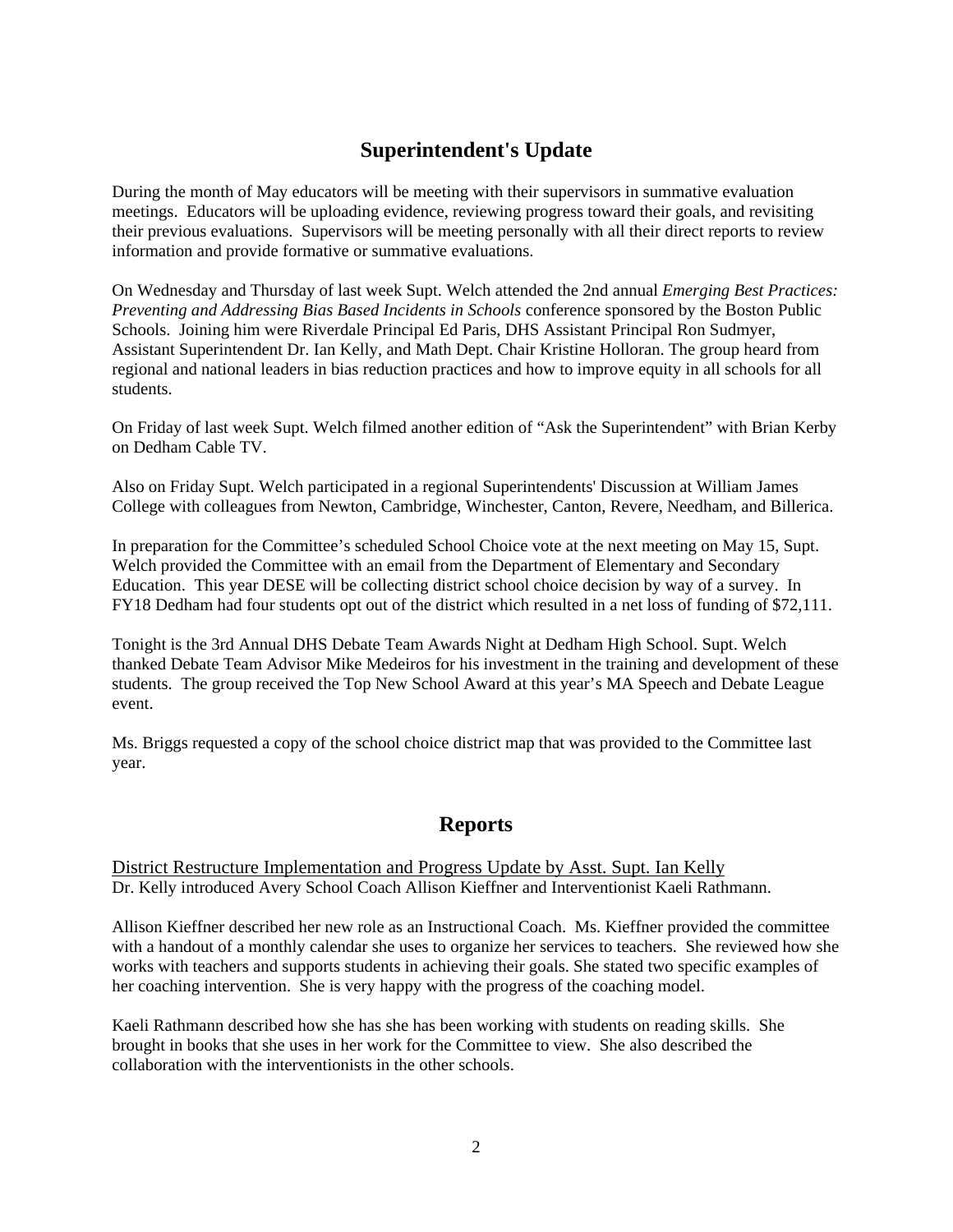## **Superintendent's Update**

During the month of May educators will be meeting with their supervisors in summative evaluation meetings. Educators will be uploading evidence, reviewing progress toward their goals, and revisiting their previous evaluations. Supervisors will be meeting personally with all their direct reports to review information and provide formative or summative evaluations.

On Wednesday and Thursday of last week Supt. Welch attended the 2nd annual *Emerging Best Practices: Preventing and Addressing Bias Based Incidents in Schools* conference sponsored by the Boston Public Schools. Joining him were Riverdale Principal Ed Paris, DHS Assistant Principal Ron Sudmyer, Assistant Superintendent Dr. Ian Kelly, and Math Dept. Chair Kristine Holloran. The group heard from regional and national leaders in bias reduction practices and how to improve equity in all schools for all students.

On Friday of last week Supt. Welch filmed another edition of "Ask the Superintendent" with Brian Kerby on Dedham Cable TV.

Also on Friday Supt. Welch participated in a regional Superintendents' Discussion at William James College with colleagues from Newton, Cambridge, Winchester, Canton, Revere, Needham, and Billerica.

In preparation for the Committee's scheduled School Choice vote at the next meeting on May 15, Supt. Welch provided the Committee with an email from the Department of Elementary and Secondary Education. This year DESE will be collecting district school choice decision by way of a survey. In FY18 Dedham had four students opt out of the district which resulted in a net loss of funding of \$72,111.

Tonight is the 3rd Annual DHS Debate Team Awards Night at Dedham High School. Supt. Welch thanked Debate Team Advisor Mike Medeiros for his investment in the training and development of these students. The group received the Top New School Award at this year's MA Speech and Debate League event.

Ms. Briggs requested a copy of the school choice district map that was provided to the Committee last year.

## **Reports**

District Restructure Implementation and Progress Update by Asst. Supt. Ian Kelly Dr. Kelly introduced Avery School Coach Allison Kieffner and Interventionist Kaeli Rathmann.

Allison Kieffner described her new role as an Instructional Coach. Ms. Kieffner provided the committee with a handout of a monthly calendar she uses to organize her services to teachers. She reviewed how she works with teachers and supports students in achieving their goals. She stated two specific examples of her coaching intervention. She is very happy with the progress of the coaching model.

Kaeli Rathmann described how she has she has been working with students on reading skills. She brought in books that she uses in her work for the Committee to view. She also described the collaboration with the interventionists in the other schools.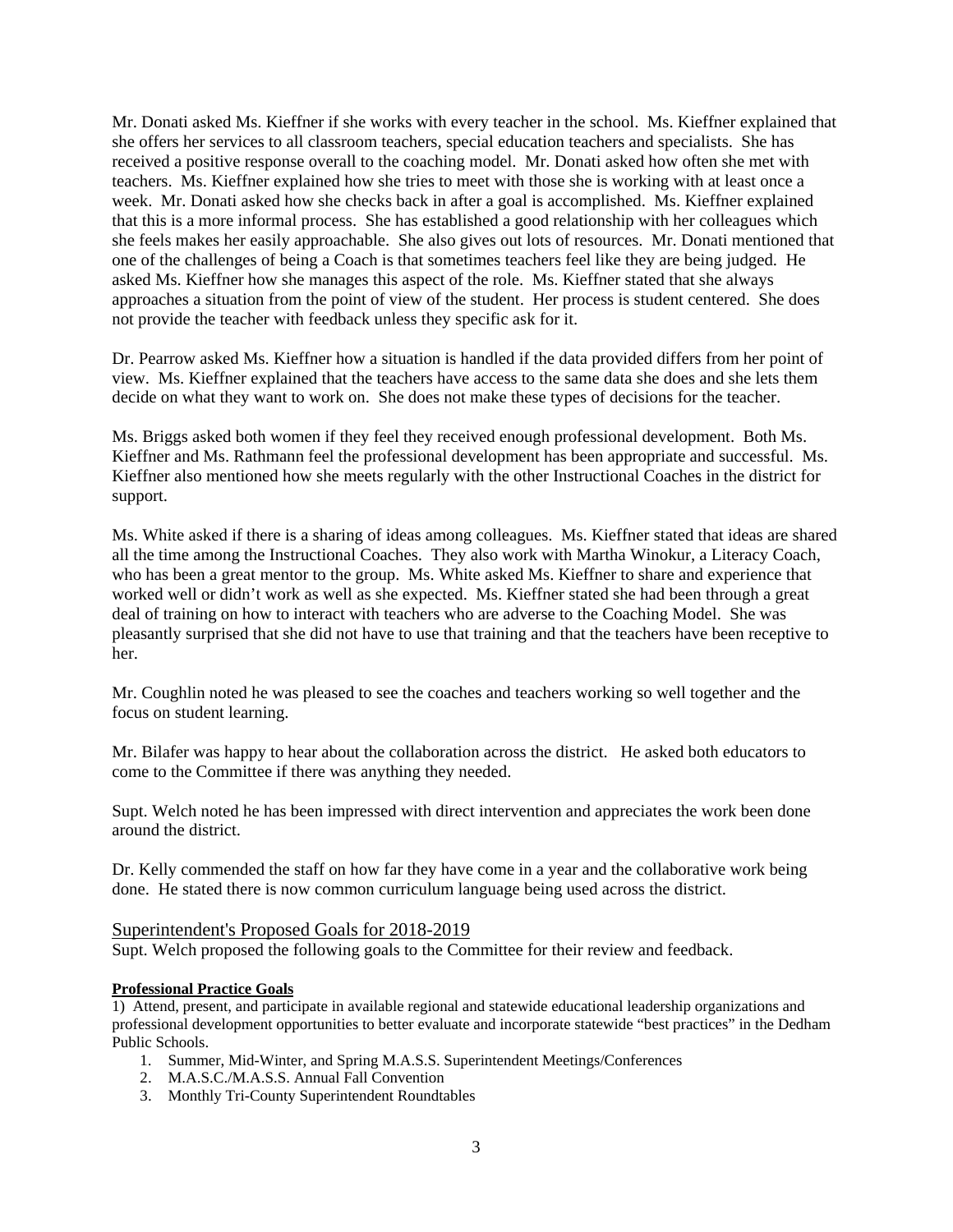Mr. Donati asked Ms. Kieffner if she works with every teacher in the school. Ms. Kieffner explained that she offers her services to all classroom teachers, special education teachers and specialists. She has received a positive response overall to the coaching model. Mr. Donati asked how often she met with teachers. Ms. Kieffner explained how she tries to meet with those she is working with at least once a week. Mr. Donati asked how she checks back in after a goal is accomplished. Ms. Kieffner explained that this is a more informal process. She has established a good relationship with her colleagues which she feels makes her easily approachable. She also gives out lots of resources. Mr. Donati mentioned that one of the challenges of being a Coach is that sometimes teachers feel like they are being judged. He asked Ms. Kieffner how she manages this aspect of the role. Ms. Kieffner stated that she always approaches a situation from the point of view of the student. Her process is student centered. She does not provide the teacher with feedback unless they specific ask for it.

Dr. Pearrow asked Ms. Kieffner how a situation is handled if the data provided differs from her point of view. Ms. Kieffner explained that the teachers have access to the same data she does and she lets them decide on what they want to work on. She does not make these types of decisions for the teacher.

Ms. Briggs asked both women if they feel they received enough professional development. Both Ms. Kieffner and Ms. Rathmann feel the professional development has been appropriate and successful. Ms. Kieffner also mentioned how she meets regularly with the other Instructional Coaches in the district for support.

Ms. White asked if there is a sharing of ideas among colleagues. Ms. Kieffner stated that ideas are shared all the time among the Instructional Coaches. They also work with Martha Winokur, a Literacy Coach, who has been a great mentor to the group. Ms. White asked Ms. Kieffner to share and experience that worked well or didn't work as well as she expected. Ms. Kieffner stated she had been through a great deal of training on how to interact with teachers who are adverse to the Coaching Model. She was pleasantly surprised that she did not have to use that training and that the teachers have been receptive to her.

Mr. Coughlin noted he was pleased to see the coaches and teachers working so well together and the focus on student learning.

Mr. Bilafer was happy to hear about the collaboration across the district. He asked both educators to come to the Committee if there was anything they needed.

Supt. Welch noted he has been impressed with direct intervention and appreciates the work been done around the district.

Dr. Kelly commended the staff on how far they have come in a year and the collaborative work being done. He stated there is now common curriculum language being used across the district.

#### Superintendent's Proposed Goals for 2018-2019

Supt. Welch proposed the following goals to the Committee for their review and feedback.

#### **Professional Practice Goals**

1) Attend, present, and participate in available regional and statewide educational leadership organizations and professional development opportunities to better evaluate and incorporate statewide "best practices" in the Dedham Public Schools.

- 1. Summer, Mid-Winter, and Spring M.A.S.S. Superintendent Meetings/Conferences
- 2. M.A.S.C./M.A.S.S. Annual Fall Convention
- 3. Monthly Tri-County Superintendent Roundtables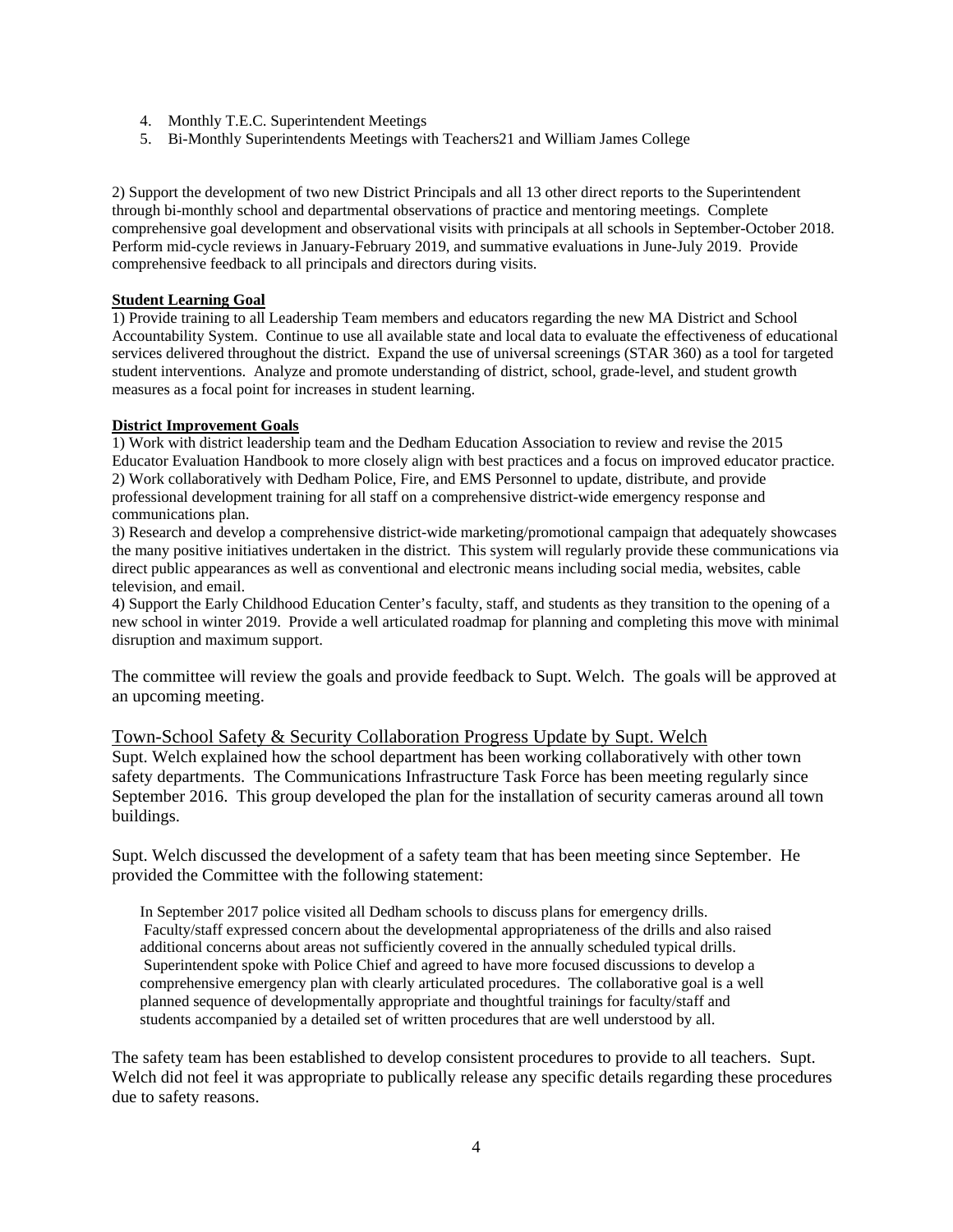- 4. Monthly T.E.C. Superintendent Meetings
- 5. Bi-Monthly Superintendents Meetings with Teachers21 and William James College

2) Support the development of two new District Principals and all 13 other direct reports to the Superintendent through bi-monthly school and departmental observations of practice and mentoring meetings. Complete comprehensive goal development and observational visits with principals at all schools in September-October 2018. Perform mid-cycle reviews in January-February 2019, and summative evaluations in June-July 2019. Provide comprehensive feedback to all principals and directors during visits.

#### **Student Learning Goal**

1) Provide training to all Leadership Team members and educators regarding the new MA District and School Accountability System. Continue to use all available state and local data to evaluate the effectiveness of educational services delivered throughout the district. Expand the use of universal screenings (STAR 360) as a tool for targeted student interventions. Analyze and promote understanding of district, school, grade-level, and student growth measures as a focal point for increases in student learning.

#### **District Improvement Goals**

1) Work with district leadership team and the Dedham Education Association to review and revise the 2015 Educator Evaluation Handbook to more closely align with best practices and a focus on improved educator practice. 2) Work collaboratively with Dedham Police, Fire, and EMS Personnel to update, distribute, and provide professional development training for all staff on a comprehensive district-wide emergency response and communications plan.

3) Research and develop a comprehensive district-wide marketing/promotional campaign that adequately showcases the many positive initiatives undertaken in the district. This system will regularly provide these communications via direct public appearances as well as conventional and electronic means including social media, websites, cable television, and email.

4) Support the Early Childhood Education Center's faculty, staff, and students as they transition to the opening of a new school in winter 2019. Provide a well articulated roadmap for planning and completing this move with minimal disruption and maximum support.

The committee will review the goals and provide feedback to Supt. Welch. The goals will be approved at an upcoming meeting.

#### Town-School Safety & Security Collaboration Progress Update by Supt. Welch

Supt. Welch explained how the school department has been working collaboratively with other town safety departments. The Communications Infrastructure Task Force has been meeting regularly since September 2016. This group developed the plan for the installation of security cameras around all town buildings.

Supt. Welch discussed the development of a safety team that has been meeting since September. He provided the Committee with the following statement:

In September 2017 police visited all Dedham schools to discuss plans for emergency drills. Faculty/staff expressed concern about the developmental appropriateness of the drills and also raised additional concerns about areas not sufficiently covered in the annually scheduled typical drills. Superintendent spoke with Police Chief and agreed to have more focused discussions to develop a comprehensive emergency plan with clearly articulated procedures. The collaborative goal is a well planned sequence of developmentally appropriate and thoughtful trainings for faculty/staff and students accompanied by a detailed set of written procedures that are well understood by all.

The safety team has been established to develop consistent procedures to provide to all teachers. Supt. Welch did not feel it was appropriate to publically release any specific details regarding these procedures due to safety reasons.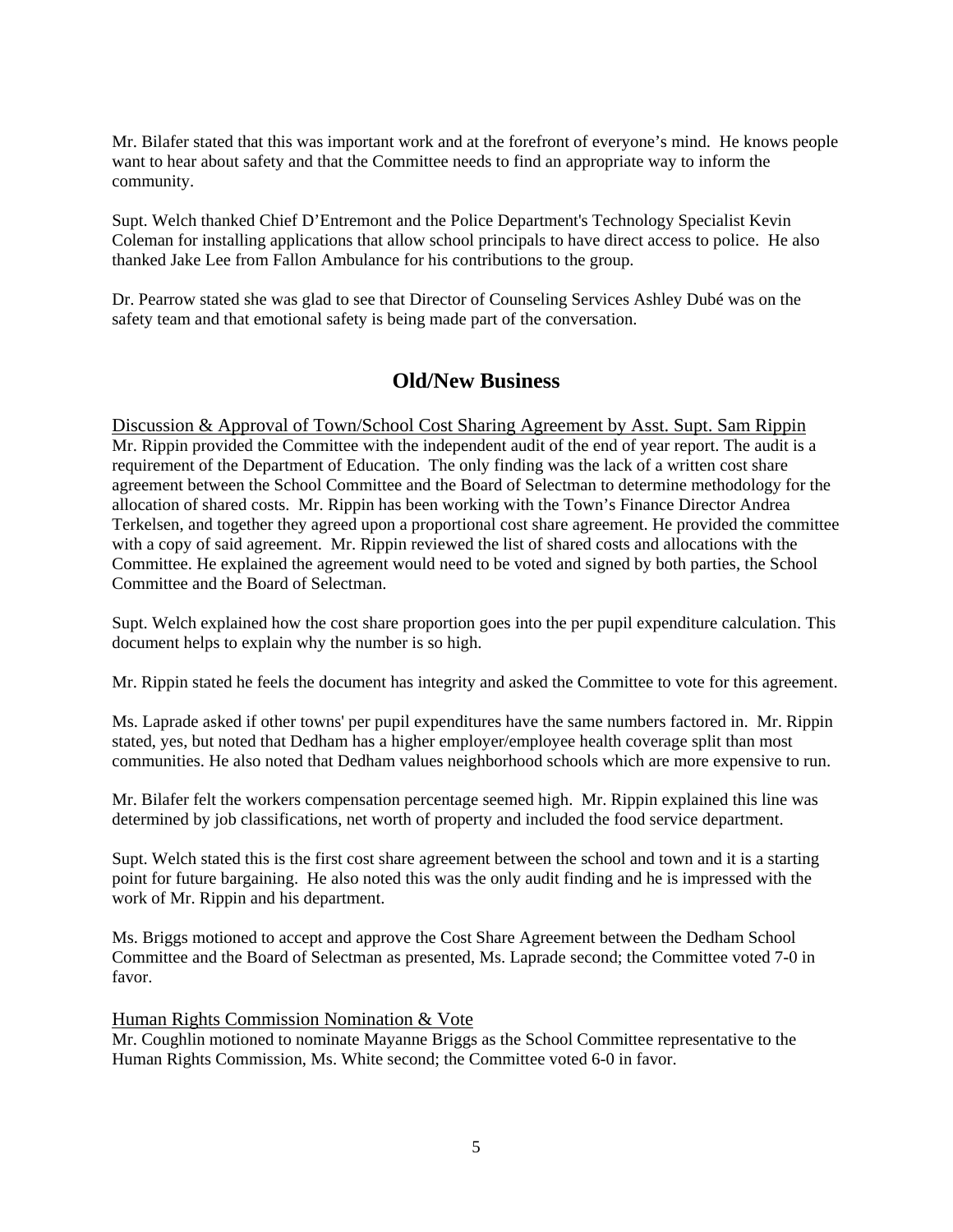Mr. Bilafer stated that this was important work and at the forefront of everyone's mind. He knows people want to hear about safety and that the Committee needs to find an appropriate way to inform the community.

Supt. Welch thanked Chief D'Entremont and the Police Department's Technology Specialist Kevin Coleman for installing applications that allow school principals to have direct access to police. He also thanked Jake Lee from Fallon Ambulance for his contributions to the group.

Dr. Pearrow stated she was glad to see that Director of Counseling Services Ashley Dubé was on the safety team and that emotional safety is being made part of the conversation.

## **Old/New Business**

Discussion & Approval of Town/School Cost Sharing Agreement by Asst. Supt. Sam Rippin Mr. Rippin provided the Committee with the independent audit of the end of year report. The audit is a requirement of the Department of Education. The only finding was the lack of a written cost share agreement between the School Committee and the Board of Selectman to determine methodology for the allocation of shared costs. Mr. Rippin has been working with the Town's Finance Director Andrea Terkelsen, and together they agreed upon a proportional cost share agreement. He provided the committee with a copy of said agreement. Mr. Rippin reviewed the list of shared costs and allocations with the Committee. He explained the agreement would need to be voted and signed by both parties, the School Committee and the Board of Selectman.

Supt. Welch explained how the cost share proportion goes into the per pupil expenditure calculation. This document helps to explain why the number is so high.

Mr. Rippin stated he feels the document has integrity and asked the Committee to vote for this agreement.

Ms. Laprade asked if other towns' per pupil expenditures have the same numbers factored in. Mr. Rippin stated, yes, but noted that Dedham has a higher employer/employee health coverage split than most communities. He also noted that Dedham values neighborhood schools which are more expensive to run.

Mr. Bilafer felt the workers compensation percentage seemed high. Mr. Rippin explained this line was determined by job classifications, net worth of property and included the food service department.

Supt. Welch stated this is the first cost share agreement between the school and town and it is a starting point for future bargaining. He also noted this was the only audit finding and he is impressed with the work of Mr. Rippin and his department.

Ms. Briggs motioned to accept and approve the Cost Share Agreement between the Dedham School Committee and the Board of Selectman as presented, Ms. Laprade second; the Committee voted 7-0 in favor.

#### Human Rights Commission Nomination & Vote

Mr. Coughlin motioned to nominate Mayanne Briggs as the School Committee representative to the Human Rights Commission, Ms. White second; the Committee voted 6-0 in favor.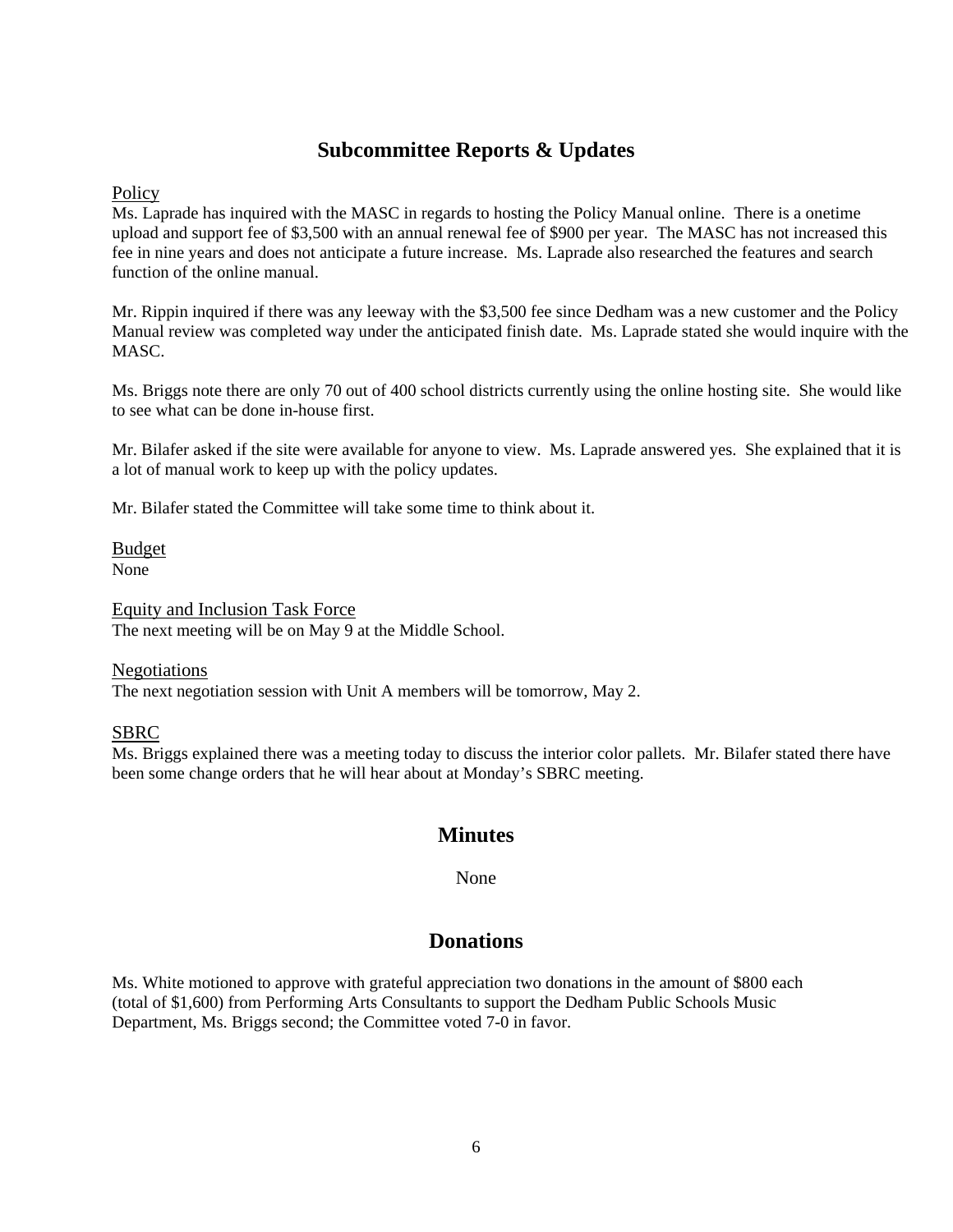## **Subcommittee Reports & Updates**

**Policy** 

Ms. Laprade has inquired with the MASC in regards to hosting the Policy Manual online. There is a onetime upload and support fee of \$3,500 with an annual renewal fee of \$900 per year. The MASC has not increased this fee in nine years and does not anticipate a future increase. Ms. Laprade also researched the features and search function of the online manual.

Mr. Rippin inquired if there was any leeway with the \$3,500 fee since Dedham was a new customer and the Policy Manual review was completed way under the anticipated finish date. Ms. Laprade stated she would inquire with the MASC.

Ms. Briggs note there are only 70 out of 400 school districts currently using the online hosting site. She would like to see what can be done in-house first.

Mr. Bilafer asked if the site were available for anyone to view. Ms. Laprade answered yes. She explained that it is a lot of manual work to keep up with the policy updates.

Mr. Bilafer stated the Committee will take some time to think about it.

Budget None

Equity and Inclusion Task Force The next meeting will be on May 9 at the Middle School.

Negotiations

The next negotiation session with Unit A members will be tomorrow, May 2.

### SBRC

Ms. Briggs explained there was a meeting today to discuss the interior color pallets. Mr. Bilafer stated there have been some change orders that he will hear about at Monday's SBRC meeting.

## **Minutes**

None

## **Donations**

Ms. White motioned to approve with grateful appreciation two donations in the amount of \$800 each (total of \$1,600) from Performing Arts Consultants to support the Dedham Public Schools Music Department, Ms. Briggs second; the Committee voted 7-0 in favor.